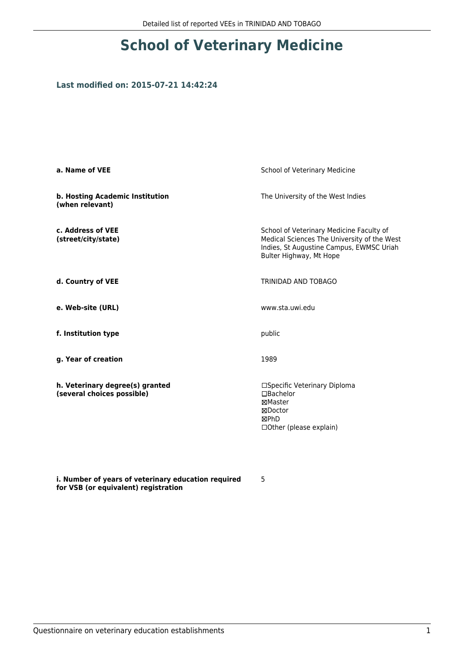## **School of Veterinary Medicine**

## **Last modified on: 2015-07-21 14:42:24**

| a. Name of VEE                                                | School of Veterinary Medicine                                                                                                                                  |  |
|---------------------------------------------------------------|----------------------------------------------------------------------------------------------------------------------------------------------------------------|--|
| b. Hosting Academic Institution<br>(when relevant)            | The University of the West Indies                                                                                                                              |  |
| c. Address of VEE<br>(street/city/state)                      | School of Veterinary Medicine Faculty of<br>Medical Sciences The University of the West<br>Indies, St Augustine Campus, EWMSC Uriah<br>Bulter Highway, Mt Hope |  |
| d. Country of VEE                                             | TRINIDAD AND TOBAGO                                                                                                                                            |  |
| e. Web-site (URL)                                             | www.sta.uwi.edu                                                                                                                                                |  |
| f. Institution type                                           | public                                                                                                                                                         |  |
| g. Year of creation                                           | 1989                                                                                                                                                           |  |
| h. Veterinary degree(s) granted<br>(several choices possible) | □Specific Veterinary Diploma<br>$\Box$ Bachelor<br>⊠Master<br>⊠Doctor<br>⊠PhD<br>□ Other (please explain)                                                      |  |

**i. Number of years of veterinary education required for VSB (or equivalent) registration**

5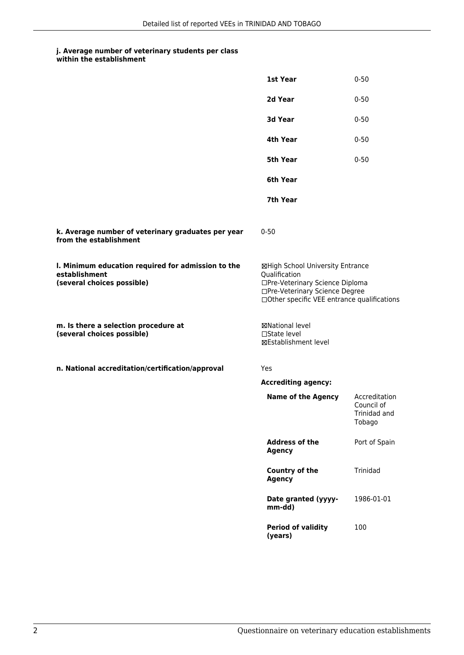## **j. Average number of veterinary students per class**

|                                                                                                   | 1st Year                                                                                                                                                              | $0 - 50$                                              |
|---------------------------------------------------------------------------------------------------|-----------------------------------------------------------------------------------------------------------------------------------------------------------------------|-------------------------------------------------------|
|                                                                                                   | 2d Year                                                                                                                                                               | $0 - 50$                                              |
|                                                                                                   | 3d Year                                                                                                                                                               | $0 - 50$                                              |
|                                                                                                   | 4th Year                                                                                                                                                              | $0 - 50$                                              |
|                                                                                                   | 5th Year                                                                                                                                                              | $0 - 50$                                              |
|                                                                                                   | 6th Year                                                                                                                                                              |                                                       |
|                                                                                                   | 7th Year                                                                                                                                                              |                                                       |
| k. Average number of veterinary graduates per year<br>from the establishment                      | $0 - 50$                                                                                                                                                              |                                                       |
| I. Minimum education required for admission to the<br>establishment<br>(several choices possible) | ⊠High School University Entrance<br>Qualification<br>□Pre-Veterinary Science Diploma<br>□Pre-Veterinary Science Degree<br>□Other specific VEE entrance qualifications |                                                       |
| m. Is there a selection procedure at<br>(several choices possible)                                | ⊠National level<br>$\Box$ State level<br>⊠Establishment level                                                                                                         |                                                       |
| n. National accreditation/certification/approval                                                  | Yes                                                                                                                                                                   |                                                       |
|                                                                                                   | <b>Accrediting agency:</b>                                                                                                                                            |                                                       |
|                                                                                                   | <b>Name of the Agency</b>                                                                                                                                             | Accreditation<br>Council of<br>Trinidad and<br>Tobago |
|                                                                                                   | <b>Address of the</b><br><b>Agency</b>                                                                                                                                | Port of Spain                                         |
|                                                                                                   | Country of the<br><b>Agency</b>                                                                                                                                       | Trinidad                                              |
|                                                                                                   | Date granted (yyyy-<br>mm-dd)                                                                                                                                         | 1986-01-01                                            |
|                                                                                                   | <b>Period of validity</b><br>(years)                                                                                                                                  | 100                                                   |
|                                                                                                   |                                                                                                                                                                       |                                                       |